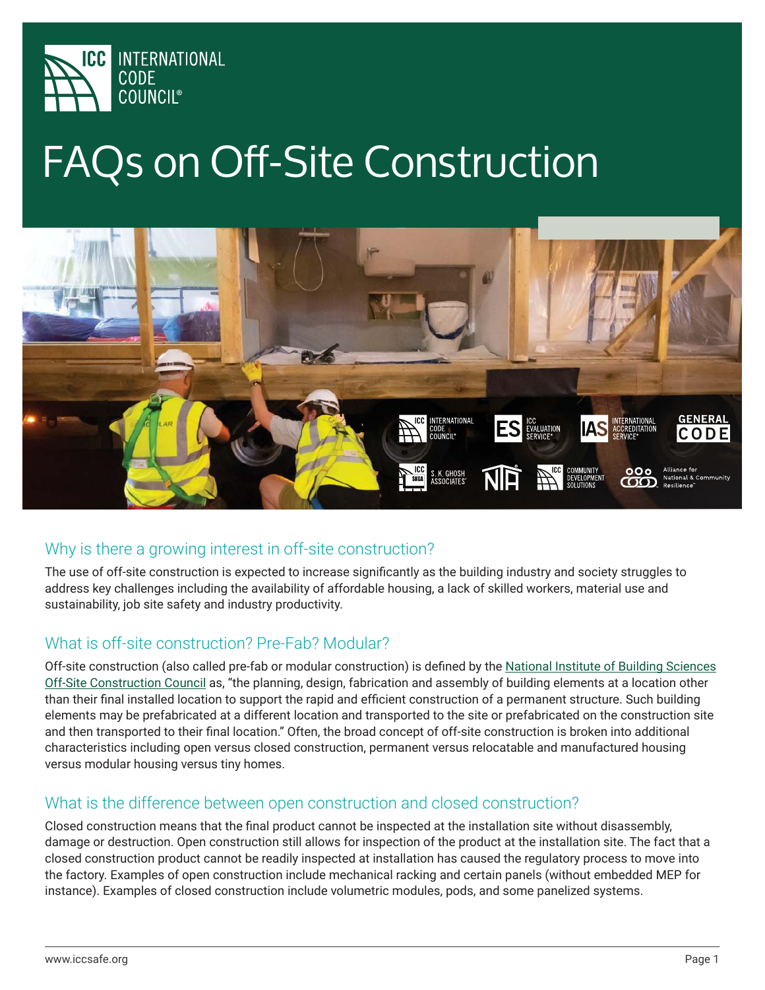

# FAQs on Off-Site Construction



## Why is there a growing interest in off-site construction?

The use of off-site construction is expected to increase significantly as the building industry and society struggles to address key challenges including the availability of affordable housing, a lack of skilled workers, material use and sustainability, job site safety and industry productivity.

### What is off-site construction? Pre-Fab? Modular?

Off-site construction (also called pre-fab or modular construction) is defined by the National Institute of Building Sciences Off-Site Construction Council as, "the planning, design, fabrication and assembly of building elements at a location other than their final installed location to support the rapid and efficient construction of a permanent structure. Such building elements may be prefabricated at a different location and transported to the site or prefabricated on the construction site and then transported to their final location." Often, the broad concept of off-site construction is broken into additional characteristics including open versus closed construction, permanent versus relocatable and manufactured housing versus modular housing versus tiny homes.

#### What is the difference between open construction and closed construction?

Closed construction means that the final product cannot be inspected at the installation site without disassembly, damage or destruction. Open construction still allows for inspection of the product at the installation site. The fact that a closed construction product cannot be readily inspected at installation has caused the regulatory process to move into the factory. Examples of open construction include mechanical racking and certain panels (without embedded MEP for instance). Examples of closed construction include volumetric modules, pods, and some panelized systems.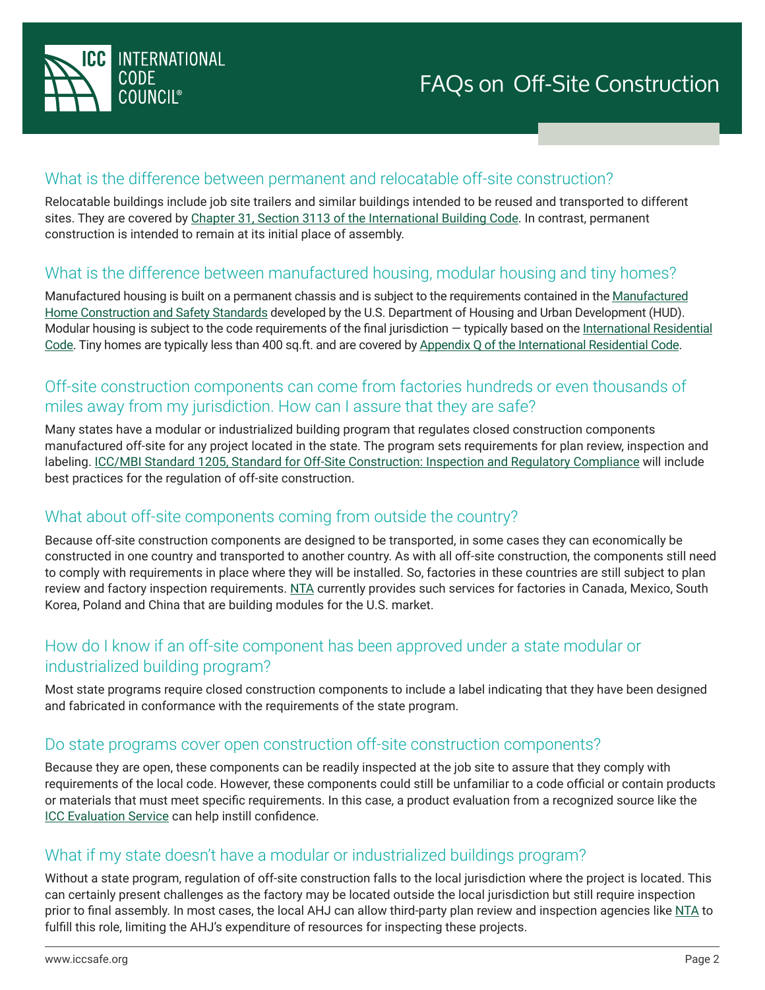

#### What is the difference between permanent and relocatable off-site construction?

Relocatable buildings include job site trailers and similar buildings intended to be reused and transported to different sites. They are covered by Chapter 31, Section 3113 of the International Building Code. In contrast, permanent construction is intended to remain at its initial place of assembly.

#### What is the difference between manufactured housing, modular housing and tiny homes?

Manufactured housing is built on a permanent chassis and is subject to the requirements contained in the Manufactured Home Construction and Safety Standards developed by the U.S. Department of Housing and Urban Development (HUD). Modular housing is subject to the code requirements of the final jurisdiction – typically based on the International Residential Code. Tiny homes are typically less than 400 sq.ft. and are covered by Appendix Q of the International Residential Code.

## Off-site construction components can come from factories hundreds or even thousands of miles away from my jurisdiction. How can I assure that they are safe?

Many states have a modular or industrialized building program that regulates closed construction components manufactured off-site for any project located in the state. The program sets requirements for plan review, inspection and labeling. ICC/MBI Standard 1205, Standard for Off-Site Construction: Inspection and Regulatory Compliance will include best practices for the regulation of off-site construction.

### What about off-site components coming from outside the country?

Because off-site construction components are designed to be transported, in some cases they can economically be constructed in one country and transported to another country. As with all off-site construction, the components still need to comply with requirements in place where they will be installed. So, factories in these countries are still subject to plan review and factory inspection requirements. NTA currently provides such services for factories in Canada, Mexico, South Korea, Poland and China that are building modules for the U.S. market.

### How do I know if an off-site component has been approved under a state modular or industrialized building program?

Most state programs require closed construction components to include a label indicating that they have been designed and fabricated in conformance with the requirements of the state program.

#### Do state programs cover open construction off-site construction components?

Because they are open, these components can be readily inspected at the job site to assure that they comply with requirements of the local code. However, these components could still be unfamiliar to a code official or contain products or materials that must meet specific requirements. In this case, a product evaluation from a recognized source like the ICC Evaluation Service can help instill confidence.

## What if my state doesn't have a modular or industrialized buildings program?

Without a state program, regulation of off-site construction falls to the local jurisdiction where the project is located. This can certainly present challenges as the factory may be located outside the local jurisdiction but still require inspection prior to final assembly. In most cases, the local AHJ can allow third-party plan review and inspection agencies like NTA to fulfill this role, limiting the AHJ's expenditure of resources for inspecting these projects.